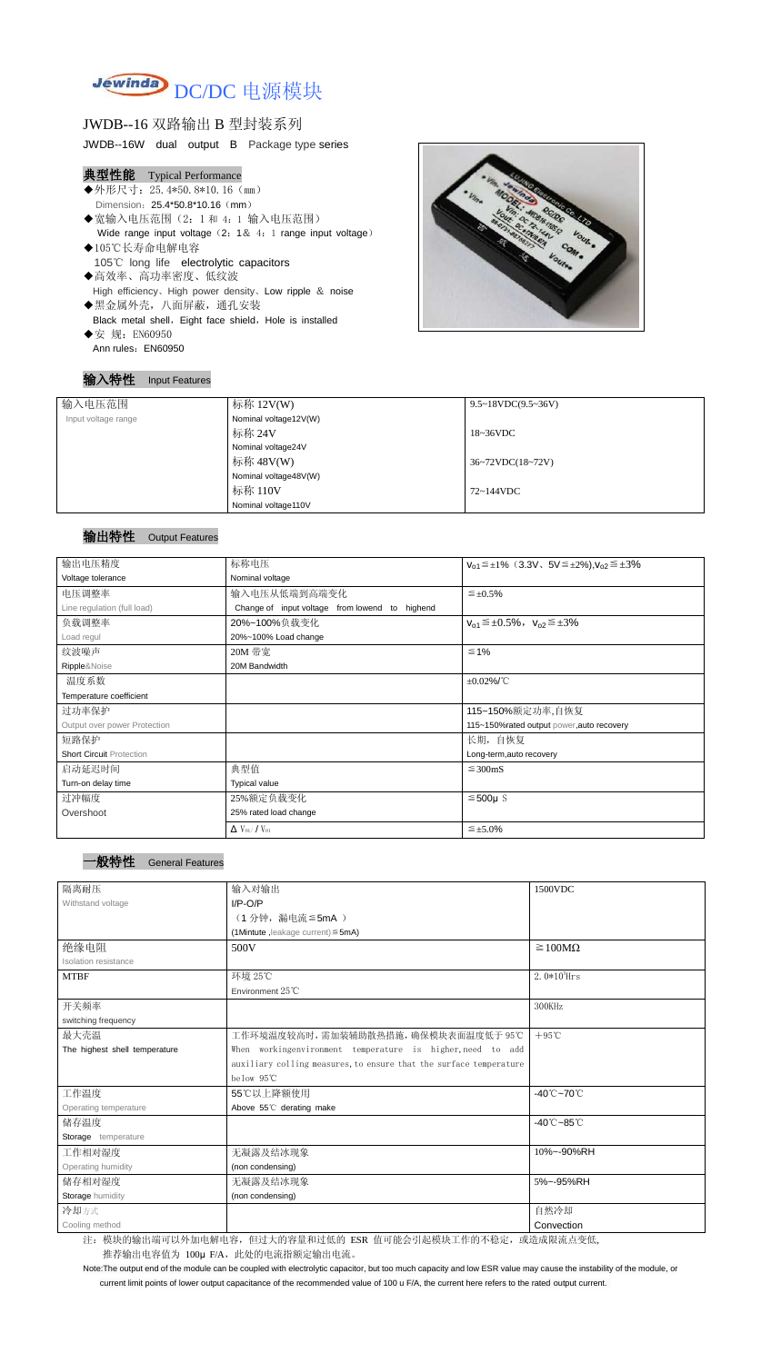

JWDB--16 双路输出 B 型封装系列

JWDB--16W dual output B Package type series

### 典型性能 Typical Performance

- ◆外形尺寸: 25.4\*50.8\*10.16 (mm) Dimension: 25.4\*50.8\*10.16 (mm)
- ◆宽输入电压范围 (2: 1 和 4: 1 输入电压范围) Wide range input voltage (2: 1& 4: 1 range input voltage)
- ◆105℃长寿命电解电容 105℃ long life electrolytic capacitors
- ◆高效率、高功率密度、低纹波 High efficiency、High power density、Low ripple & noise ◆黑金属外壳,八面屏蔽,通孔安装
- Black metal shell, Eight face shield, Hole is installed
- ◆安 规: EN60950 Ann rules: EN60950

### 输入特性 Input Features



### 输出特性 Output Features

Note:The output end of the module can be coupled with electrolytic capacitor, but too much capacity and low ESR value may cause the instability of the module, or current limit points of lower output capacitance of the recommended value of 100 u F/A, the current here refers to the rated output current.

| 输入电压范围              | 标称 12V(W)             | $9.5 \sim 18 VDC(9.5 \sim 36 V)$     |
|---------------------|-----------------------|--------------------------------------|
| Input voltage range | Nominal voltage12V(W) |                                      |
|                     | 标称 24V                | 18~36VDC                             |
|                     | Nominal voltage24V    |                                      |
|                     | 标称 48V(W)             | $36~72\textrm{VDC}(18~72\textrm{V})$ |
|                     | Nominal voltage48V(W) |                                      |
|                     | 标称 110V               | 72~144VDC                            |
|                     | Nominal voltage110V   |                                      |

| 输出电压精度                          | 标称电压                                                 | $V_{01} \le \pm 1\%$ (3.3V, $5V \le \pm 2\%$ ), $V_{02} \le \pm 3\%$ |
|---------------------------------|------------------------------------------------------|----------------------------------------------------------------------|
| Voltage tolerance               | Nominal voltage                                      |                                                                      |
| 电压调整率                           | 输入电压从低端到高端变化                                         | $\leq \pm 0.5\%$                                                     |
| Line regulation (full load)     | Change of input voltage from lowend<br>highend<br>to |                                                                      |
| 负载调整率                           | 20%~100%负载变化                                         | $V_{01} \leq \pm 0.5\%$ , $V_{02} \leq \pm 3\%$                      |
| Load regul                      | 20%~100% Load change                                 |                                                                      |
| 纹波噪声                            | 20M 带宽                                               | $\leq 1\%$                                                           |
| Ripple&Noise                    | 20M Bandwidth                                        |                                                                      |
| 温度系数                            |                                                      | $\pm 0.02\%$ /°C                                                     |
| Temperature coefficient         |                                                      |                                                                      |
| 过功率保护                           |                                                      | 115~150%额定功率,自恢复                                                     |
| Output over power Protection    |                                                      | 115~150%rated output power, auto recovery                            |
| 短路保护                            |                                                      | 长期, 自恢复                                                              |
| <b>Short Circuit Protection</b> |                                                      | Long-term, auto recovery                                             |
| 启动延迟时间                          | 典型值                                                  | $\leq$ 300mS                                                         |
| Turn-on delay time              | <b>Typical value</b>                                 |                                                                      |
| 过冲幅度                            | 25%额定负载变化                                            | $≤500µ$ S                                                            |
| Overshoot                       | 25% rated load change                                |                                                                      |
|                                 | $\Delta$ V <sub>01</sub> /V <sub>01</sub>            | $\leq \pm 5.0\%$                                                     |

**General Features** 

| 隔离耐压                          | 输入对输出                                                              | 1500VDC                         |
|-------------------------------|--------------------------------------------------------------------|---------------------------------|
| Withstand voltage             | $I/P-O/P$                                                          |                                 |
|                               | (1分钟, 漏电流 ≦ 5mA)                                                   |                                 |
|                               | (1Mintute, leakage current) $\leq$ 5mA)                            |                                 |
| 绝缘电阻                          | 500V                                                               | $\geq 100M\Omega$               |
| Isolation resistance          |                                                                    |                                 |
| <b>MTBF</b>                   | 环境 25℃                                                             | $2.0*105$ Hrs                   |
|                               | Environment 25°C                                                   |                                 |
| 开关频率                          |                                                                    | 300KHz                          |
| switching frequency           |                                                                    |                                 |
| 最大壳温                          | 工作环境温度较高时,需加装辅助散热措施,确保模块表面温度低于95℃                                  | $+95^{\circ}$ C                 |
| The highest shell temperature | When workingenvironment temperature is higher, need to add         |                                 |
|                               | auxiliary colling measures, to ensure that the surface temperature |                                 |
|                               | below 95°C                                                         |                                 |
| 工作温度                          | 55℃以上降额使用                                                          | $-40^{\circ}$ C $-70^{\circ}$ C |
| Operating temperature         | Above 55°C derating make                                           |                                 |
| 储存温度                          |                                                                    | $-40^{\circ}$ C $-85^{\circ}$ C |
| Storage temperature           |                                                                    |                                 |
| 工作相对湿度                        | 无凝露及结冰现象                                                           | 10%~-90%RH                      |
| Operating humidity            | (non condensing)                                                   |                                 |
| 储存相对湿度                        | 无凝露及结冰现象                                                           | 5%~-95%RH                       |
| Storage humidity              | (non condensing)                                                   |                                 |
| 冷却方式                          |                                                                    | 自然冷却                            |
| Cooling method                |                                                                    | Convection                      |

注: 模块的输出端可以外加电解电容,但过大的容量和过低的 ESR 值可能会引起模块工作的不稳定, 或造成限流点变低, 推荐输出电容值为 100μ F/A, 此处的电流指额定输出电流。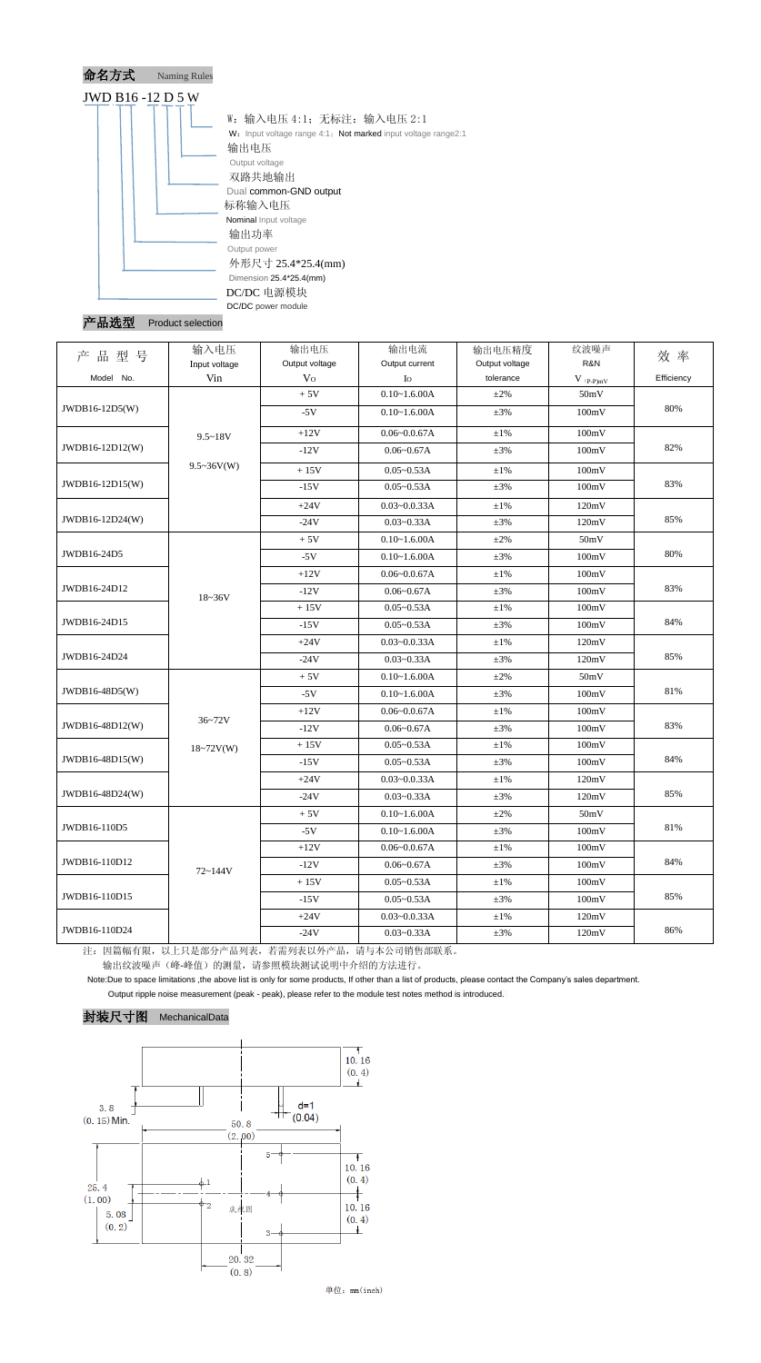

## 产品选型 Product selection

| 品型号<br>产        | 输入电压              | 输出电压           | 输出电流              | 输出电压精度         | 纹波噪声                                   | 效率         |
|-----------------|-------------------|----------------|-------------------|----------------|----------------------------------------|------------|
|                 | Input voltage     | Output voltage | Output current    | Output voltage | R&N                                    |            |
| Model No.       | Vin               | V <sub>O</sub> | Io                | tolerance      | $V$ $\mathrm{(}p\text{-}p\mathrm{)}mV$ | Efficiency |
|                 |                   | $+5V$          | $0.10 - 1.600A$   | $\pm 2\%$      | 50mV                                   |            |
| JWDB16-12D5(W)  |                   | $-5V$          | $0.10 - 1.600A$   | $\pm 3\%$      | 100mV                                  | 80%        |
|                 | $9.5 - 18V$       | $+12V$         | $0.06 - 0.0.67A$  | $\pm 1\%$      | 100mV                                  |            |
| JWDB16-12D12(W) |                   | $-12V$         | $0.06 - 0.67A$    | $\pm 3\%$      | 100mV                                  | 82%        |
|                 | $9.5 \sim 36V(W)$ | $+15V$         | $0.05 - 0.53A$    | $\pm1\%$       | 100mV                                  |            |
| JWDB16-12D15(W) |                   | $-15V$         | $0.05 - 0.53A$    | $\pm 3\%$      | 100mV                                  | 83%        |
|                 |                   | $+24V$         | $0.03 - 0.0.33A$  | $\pm 1\%$      | 120mV                                  |            |
| JWDB16-12D24(W) |                   | $-24V$         | $0.03 - 0.33A$    | $\pm 3\%$      | 120mV                                  | 85%        |
|                 |                   | $+5V$          | $0.10 - 1.600A$   | $\pm 2\%$      | 50mV                                   |            |
| JWDB16-24D5     |                   | $-5V$          | $0.10 - 1.600A$   | $\pm 3\%$      | 100mV                                  | 80%        |
|                 |                   | $+12V$         | $0.06 - 0.0.67A$  | $\pm 1\%$      | 100mV                                  |            |
| JWDB16-24D12    | $18 - 36V$        | $-12V$         | $0.06 - 0.67A$    | $\pm 3\%$      | 100mV                                  | 83%        |
|                 |                   | $+15V$         | $0.05 - 0.53A$    | $±1\%$         | 100mV                                  |            |
| JWDB16-24D15    |                   | $-15V$         | $0.05 - 0.53A$    | $\pm 3\%$      | 100mV                                  | 84%        |
|                 |                   | $+24V$         | $0.03 - 0.0.33A$  | $\pm 1\%$      | 120mV                                  |            |
| JWDB16-24D24    |                   | $-24V$         | $0.03 - 0.33A$    | $\pm 3\%$      | 120mV                                  | 85%        |
|                 |                   | $+5V$          | $0.10 - 1.600A$   | $\pm 2\%$      | 50mV                                   |            |
| JWDB16-48D5(W)  |                   | $-5V$          | $0.10 - 1.600A$   | $\pm 3\%$      | 100mV                                  | 81%        |
|                 | 36~72V            | $+12V$         | $0.06 - 0.0.67A$  | $\pm 1\%$      | 100mV                                  |            |
| JWDB16-48D12(W) |                   | $-12V$         | $0.06 - 0.67A$    | $\pm 3\%$      | 100mV                                  | 83%        |
|                 | $18 - 72V(W)$     | $+15V$         | $0.05 - 0.53A$    | $\pm1\%$       | 100mV                                  |            |
| JWDB16-48D15(W) |                   | $-15V$         | $0.05 - 0.53A$    | $\pm 3\%$      | 100mV                                  | 84%        |
|                 |                   | $+24V$         | $0.03 - 0.0.33A$  | $\pm 1\%$      | 120mV                                  |            |
| JWDB16-48D24(W) |                   | $-24V$         | $0.03 - 0.33A$    | $\pm 3\%$      | 120mV                                  | 85%        |
|                 |                   | $+5V$          | $0.10 - 1.600A$   | $\pm 2\%$      | 50mV                                   |            |
| JWDB16-110D5    |                   | $-5V$          | $0.10 - 1.600A$   | $\pm 3\%$      | 100mV                                  | 81%        |
|                 |                   | $+12V$         | $0.06 - 0.0.67$ A | $\pm 1\%$      | 100mV                                  |            |
| JWDB16-110D12   | 72~144V           | $-12V$         | $0.06 - 0.67A$    | $\pm 3\%$      | 100mV                                  | 84%        |
|                 |                   | $+15V$         | $0.05 - 0.53A$    | $\pm 1\%$      | 100mV                                  |            |
| JWDB16-110D15   |                   | $-15V$         | $0.05 - 0.53A$    | $\pm 3\%$      | 100mV                                  | 85%        |
|                 |                   | $+24V$         | $0.03 - 0.0.33A$  | $\pm 1\%$      | 120mV                                  |            |
| JWDB16-110D24   |                   | $-24V$         | $0.03 - 0.33A$    | $\pm 3\%$      | 120mV                                  | 86%        |

注:因篇幅有限,以上只是部分产品列表,若需列表以外产品,请与本公司销售部联系。

输出纹波噪声(峰-峰值)的测量,请参照模块测试说明中介绍的方法进行。

Note:Due to space limitations ,the above list is only for some products, If other than a list of products, please contact the Company's sales department.

Output ripple noise measurement (peak - peak), please refer to the module test notes method is introduced.

### 封装尺寸图 MechanicalData